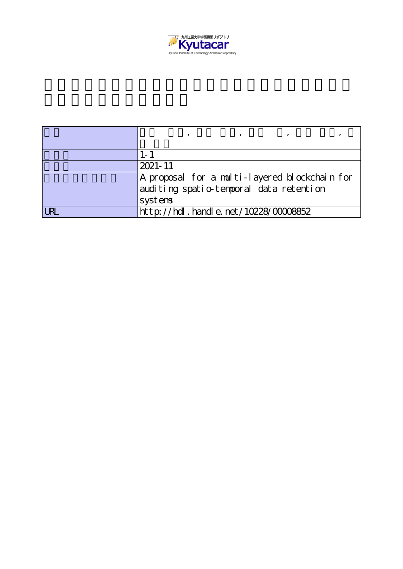

| $2021 - 11$                                                                                         |
|-----------------------------------------------------------------------------------------------------|
| A proposal for a multi-layered blockchain for<br>auditing spatio-temporal data retention<br>systems |
| $http$ ://hdl. handle. net/10228/00008852                                                           |